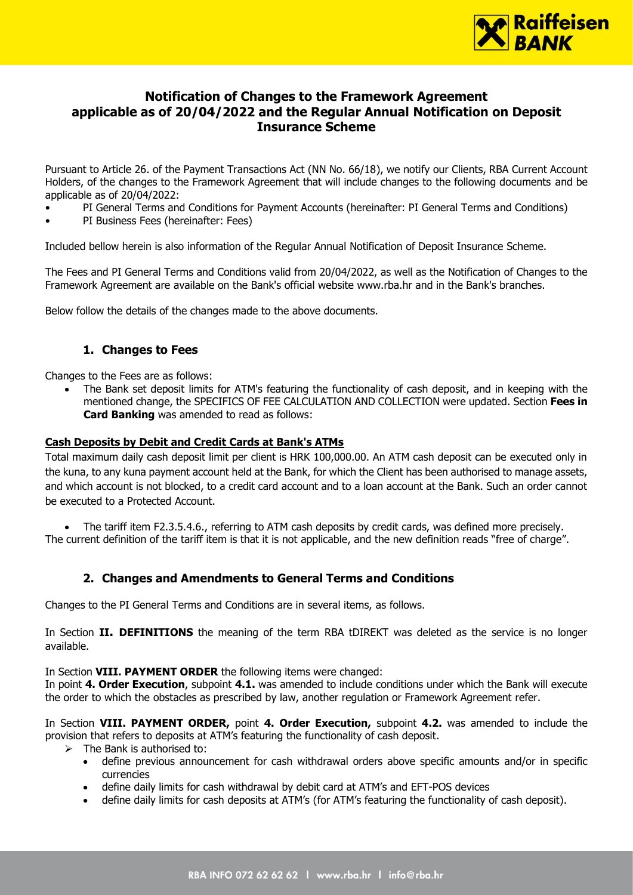

# **Notification of Changes to the Framework Agreement applicable as of 20/04/2022 and the Regular Annual Notification on Deposit Insurance Scheme**

Pursuant to Article 26. of the Payment Transactions Act (NN No. 66/18), we notify our Clients, RBA Current Account Holders, of the changes to the Framework Agreement that will include changes to the following documents and be applicable as of 20/04/2022:

- PI General Terms and Conditions for Payment Accounts (hereinafter: PI General Terms and Conditions)
- PI Business Fees (hereinafter: Fees)

Included bellow herein is also information of the Regular Annual Notification of Deposit Insurance Scheme.

The Fees and PI General Terms and Conditions valid from 20/04/2022, as well as the Notification of Changes to the Framework Agreement are available on the Bank's official website www.rba.hr and in the Bank's branches.

Below follow the details of the changes made to the above documents.

# **1. Changes to Fees**

Changes to the Fees are as follows:

• The Bank set deposit limits for ATM's featuring the functionality of cash deposit, and in keeping with the mentioned change, the SPECIFICS OF FEE CALCULATION AND COLLECTION were updated. Section **Fees in Card Banking** was amended to read as follows:

### **Cash Deposits by Debit and Credit Cards at Bank's ATMs**

Total maximum daily cash deposit limit per client is HRK 100,000.00. An ATM cash deposit can be executed only in the kuna, to any kuna payment account held at the Bank, for which the Client has been authorised to manage assets, and which account is not blocked, to a credit card account and to a loan account at the Bank. Such an order cannot be executed to a Protected Account.

• The tariff item F2.3.5.4.6., referring to ATM cash deposits by credit cards, was defined more precisely. The current definition of the tariff item is that it is not applicable, and the new definition reads "free of charge".

# **2. Changes and Amendments to General Terms and Conditions**

Changes to the PI General Terms and Conditions are in several items, as follows.

In Section **II. DEFINITIONS** the meaning of the term RBA tDIREKT was deleted as the service is no longer available.

### In Section **VIII. PAYMENT ORDER** the following items were changed:

In point **4. Order Execution**, subpoint **4.1.** was amended to include conditions under which the Bank will execute the order to which the obstacles as prescribed by law, another regulation or Framework Agreement refer.

In Section **VIII. PAYMENT ORDER,** point **4. Order Execution,** subpoint **4.2.** was amended to include the provision that refers to deposits at ATM's featuring the functionality of cash deposit.

- $\triangleright$  The Bank is authorised to:
	- define previous announcement for cash withdrawal orders above specific amounts and/or in specific currencies
	- define daily limits for cash withdrawal by debit card at ATM's and EFT-POS devices
	- define daily limits for cash deposits at ATM's (for ATM's featuring the functionality of cash deposit).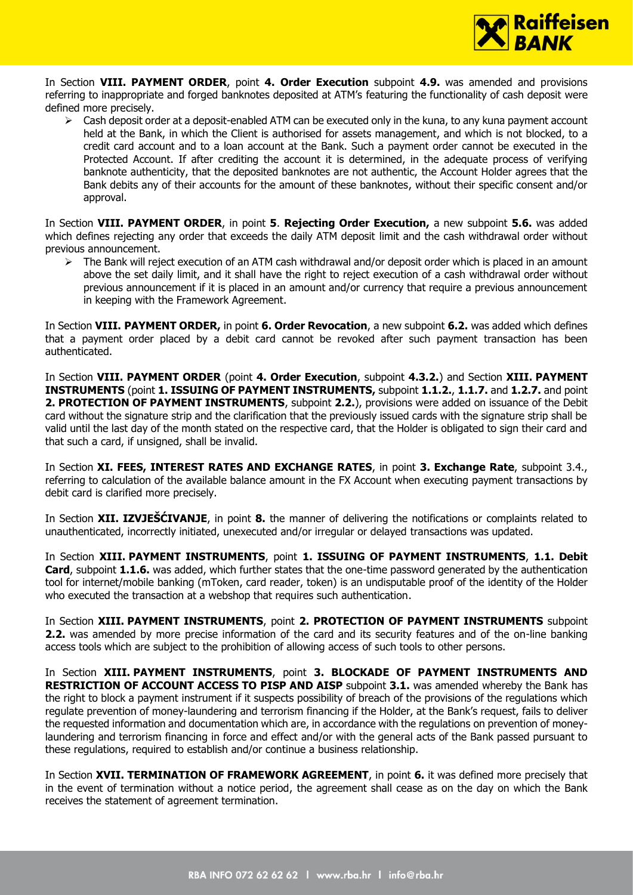

In Section **VIII. PAYMENT ORDER**, point **4. Order Execution** subpoint **4.9.** was amended and provisions referring to inappropriate and forged banknotes deposited at ATM's featuring the functionality of cash deposit were defined more precisely.

 $\triangleright$  Cash deposit order at a deposit-enabled ATM can be executed only in the kuna, to any kuna payment account held at the Bank, in which the Client is authorised for assets management, and which is not blocked, to a credit card account and to a loan account at the Bank. Such a payment order cannot be executed in the Protected Account. If after crediting the account it is determined, in the adequate process of verifying banknote authenticity, that the deposited banknotes are not authentic, the Account Holder agrees that the Bank debits any of their accounts for the amount of these banknotes, without their specific consent and/or approval.

In Section **VIII. PAYMENT ORDER**, in point **5**. **Rejecting Order Execution,** a new subpoint **5.6.** was added which defines rejecting any order that exceeds the daily ATM deposit limit and the cash withdrawal order without previous announcement.

➢ The Bank will reject execution of an ATM cash withdrawal and/or deposit order which is placed in an amount above the set daily limit, and it shall have the right to reject execution of a cash withdrawal order without previous announcement if it is placed in an amount and/or currency that require a previous announcement in keeping with the Framework Agreement.

In Section **VIII. PAYMENT ORDER,** in point **6. Order Revocation**, a new subpoint **6.2.** was added which defines that a payment order placed by a debit card cannot be revoked after such payment transaction has been authenticated.

In Section **VIII. PAYMENT ORDER** (point **4. Order Execution**, subpoint **4.3.2.**) and Section **XIII. PAYMENT INSTRUMENTS** (point **1. ISSUING OF PAYMENT INSTRUMENTS,** subpoint **1.1.2.**, **1.1.7.** and **1.2.7.** and point **2. PROTECTION OF PAYMENT INSTRUMENTS**, subpoint **2.2.**), provisions were added on issuance of the Debit card without the signature strip and the clarification that the previously issued cards with the signature strip shall be valid until the last day of the month stated on the respective card, that the Holder is obligated to sign their card and that such a card, if unsigned, shall be invalid.

In Section **XI. FEES, INTEREST RATES AND EXCHANGE RATES**, in point **3. Exchange Rate**, subpoint 3.4., referring to calculation of the available balance amount in the FX Account when executing payment transactions by debit card is clarified more precisely.

In Section **XII. IZVJEŠĆIVANJE**, in point **8.** the manner of delivering the notifications or complaints related to unauthenticated, incorrectly initiated, unexecuted and/or irregular or delayed transactions was updated.

In Section **XIII. PAYMENT INSTRUMENTS**, point **1. ISSUING OF PAYMENT INSTRUMENTS**, **1.1. Debit Card**, subpoint **1.1.6.** was added, which further states that the one-time password generated by the authentication tool for internet/mobile banking (mToken, card reader, token) is an undisputable proof of the identity of the Holder who executed the transaction at a webshop that requires such authentication.

In Section **XIII. PAYMENT INSTRUMENTS**, point **2. PROTECTION OF PAYMENT INSTRUMENTS** subpoint **2.2.** was amended by more precise information of the card and its security features and of the on-line banking access tools which are subject to the prohibition of allowing access of such tools to other persons.

In Section **XIII. PAYMENT INSTRUMENTS**, point **3. BLOCKADE OF PAYMENT INSTRUMENTS AND RESTRICTION OF ACCOUNT ACCESS TO PISP AND AISP** subpoint **3.1.** was amended whereby the Bank has the right to block a payment instrument if it suspects possibility of breach of the provisions of the regulations which regulate prevention of money-laundering and terrorism financing if the Holder, at the Bank's request, fails to deliver the requested information and documentation which are, in accordance with the regulations on prevention of moneylaundering and terrorism financing in force and effect and/or with the general acts of the Bank passed pursuant to these regulations, required to establish and/or continue a business relationship.

In Section **XVII. TERMINATION OF FRAMEWORK AGREEMENT**, in point **6.** it was defined more precisely that in the event of termination without a notice period, the agreement shall cease as on the day on which the Bank receives the statement of agreement termination.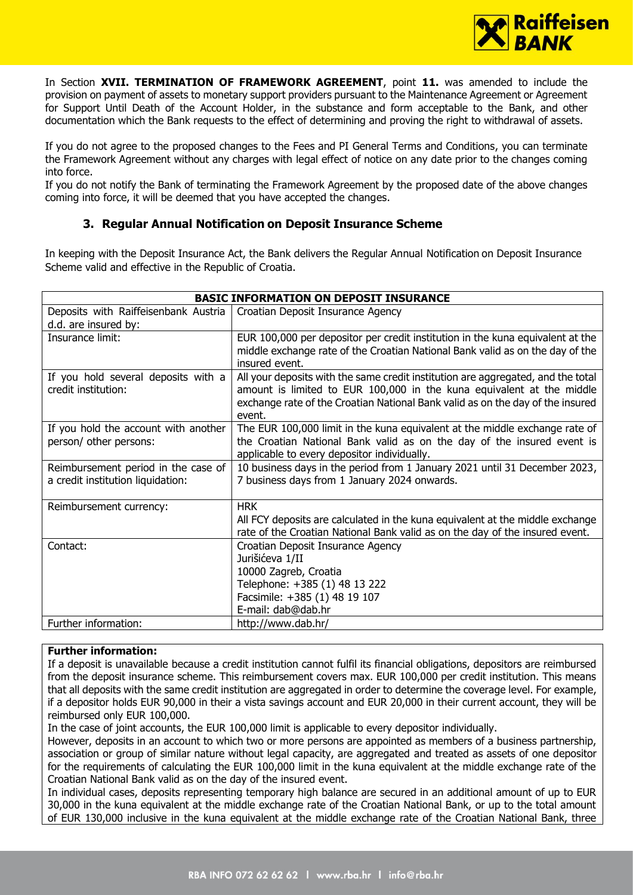

In Section **XVII. TERMINATION OF FRAMEWORK AGREEMENT**, point **11.** was amended to include the provision on payment of assets to monetary support providers pursuant to the Maintenance Agreement or Agreement for Support Until Death of the Account Holder, in the substance and form acceptable to the Bank, and other documentation which the Bank requests to the effect of determining and proving the right to withdrawal of assets.

If you do not agree to the proposed changes to the Fees and PI General Terms and Conditions, you can terminate the Framework Agreement without any charges with legal effect of notice on any date prior to the changes coming into force.

If you do not notify the Bank of terminating the Framework Agreement by the proposed date of the above changes coming into force, it will be deemed that you have accepted the changes.

# **3. Regular Annual Notification on Deposit Insurance Scheme**

In keeping with the Deposit Insurance Act, the Bank delivers the Regular Annual Notification on Deposit Insurance Scheme valid and effective in the Republic of Croatia.

| <b>BASIC INFORMATION ON DEPOSIT INSURANCE</b> |                                                                                                 |
|-----------------------------------------------|-------------------------------------------------------------------------------------------------|
| Deposits with Raiffeisenbank Austria          | Croatian Deposit Insurance Agency                                                               |
| d.d. are insured by:                          |                                                                                                 |
| Insurance limit:                              | EUR 100,000 per depositor per credit institution in the kuna equivalent at the                  |
|                                               | middle exchange rate of the Croatian National Bank valid as on the day of the<br>insured event. |
| If you hold several deposits with a           | All your deposits with the same credit institution are aggregated, and the total                |
| credit institution:                           | amount is limited to EUR 100,000 in the kuna equivalent at the middle                           |
|                                               | exchange rate of the Croatian National Bank valid as on the day of the insured                  |
|                                               | event.                                                                                          |
| If you hold the account with another          | The EUR 100,000 limit in the kuna equivalent at the middle exchange rate of                     |
| person/ other persons:                        | the Croatian National Bank valid as on the day of the insured event is                          |
|                                               | applicable to every depositor individually.                                                     |
| Reimbursement period in the case of           | 10 business days in the period from 1 January 2021 until 31 December 2023,                      |
| a credit institution liquidation:             | 7 business days from 1 January 2024 onwards.                                                    |
|                                               |                                                                                                 |
| Reimbursement currency:                       | <b>HRK</b>                                                                                      |
|                                               | All FCY deposits are calculated in the kuna equivalent at the middle exchange                   |
|                                               | rate of the Croatian National Bank valid as on the day of the insured event.                    |
| Contact:                                      | Croatian Deposit Insurance Agency                                                               |
|                                               | Jurišićeva 1/II                                                                                 |
|                                               | 10000 Zagreb, Croatia                                                                           |
|                                               | Telephone: +385 (1) 48 13 222                                                                   |
|                                               | Facsimile: +385 (1) 48 19 107                                                                   |
|                                               | E-mail: dab@dab.hr                                                                              |
| Further information:                          | http://www.dab.hr/                                                                              |

### **Further information:**

If a deposit is unavailable because a credit institution cannot fulfil its financial obligations, depositors are reimbursed from the deposit insurance scheme. This reimbursement covers max. EUR 100,000 per credit institution. This means that all deposits with the same credit institution are aggregated in order to determine the coverage level. For example, if a depositor holds EUR 90,000 in their a vista savings account and EUR 20,000 in their current account, they will be reimbursed only EUR 100,000.

In the case of joint accounts, the EUR 100,000 limit is applicable to every depositor individually.

However, deposits in an account to which two or more persons are appointed as members of a business partnership, association or group of similar nature without legal capacity, are aggregated and treated as assets of one depositor for the requirements of calculating the EUR 100,000 limit in the kuna equivalent at the middle exchange rate of the Croatian National Bank valid as on the day of the insured event.

In individual cases, deposits representing temporary high balance are secured in an additional amount of up to EUR 30,000 in the kuna equivalent at the middle exchange rate of the Croatian National Bank, or up to the total amount of EUR 130,000 inclusive in the kuna equivalent at the middle exchange rate of the Croatian National Bank, three